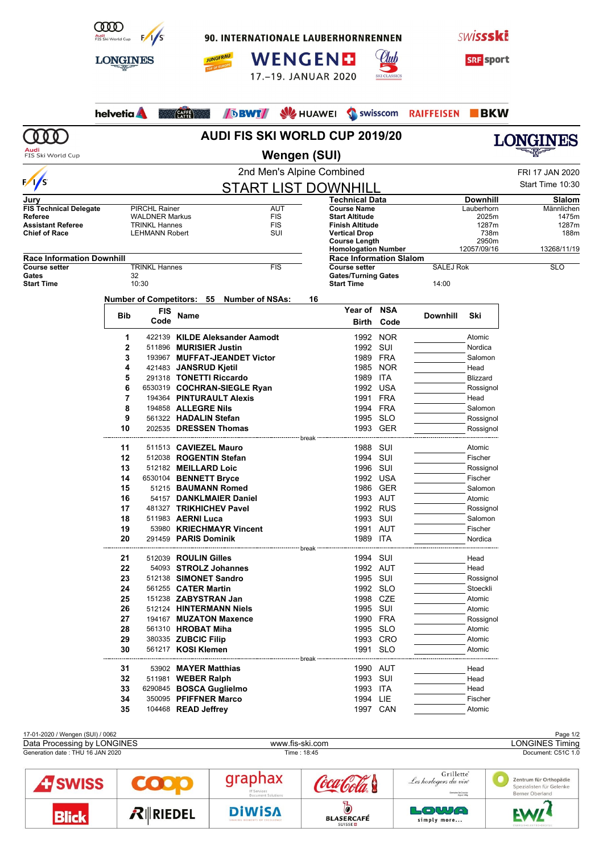

90. INTERNATIONALE LAUBERHORNRENNEN